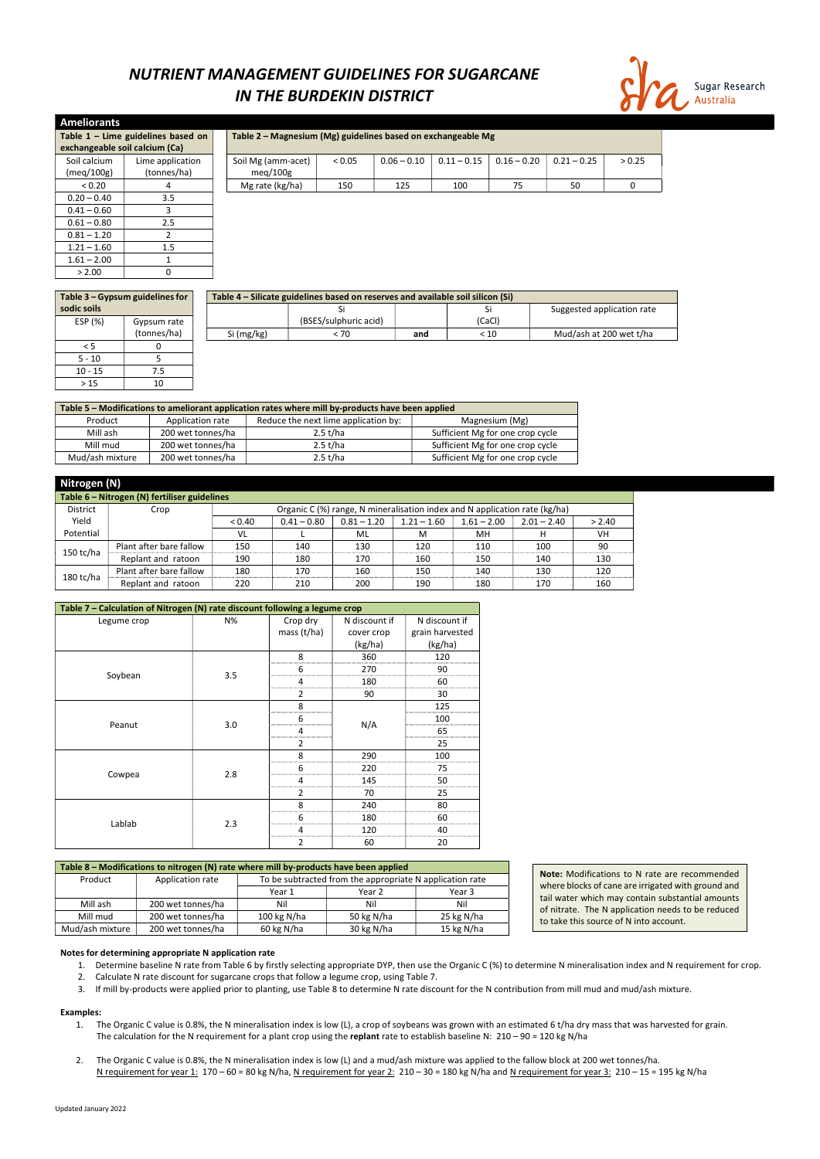Updated January 2022

## NUTRIENT MANAGEMENT GUIDELINES FOR SUGARCANE IN THE BURDEKIN DISTRICT



| exchangeable soil calcium (Ca)                       | Table 1 – Lime guidelines based on | Table 2 – Magnesium (Mg) guidelines based on exchangeable Mg |        |               |               |               |               |        |
|------------------------------------------------------|------------------------------------|--------------------------------------------------------------|--------|---------------|---------------|---------------|---------------|--------|
| Soil calcium                                         | Lime application                   | Soil Mg (amm-acet)                                           | < 0.05 | $0.06 - 0.10$ | $0.11 - 0.15$ | $0.16 - 0.20$ | $0.21 - 0.25$ | > 0.25 |
| (meq/100g)                                           | (tonnes/ha)                        | mea/100g                                                     |        |               |               |               |               |        |
| Mg rate (kg/ha)<br>75<br>150<br>125<br>100<br>< 0.20 |                                    |                                                              |        |               |               | 50            |               |        |

| <b>Ameliorants</b>             |                                      |                                     |        |  |
|--------------------------------|--------------------------------------|-------------------------------------|--------|--|
|                                | Table $1$ – Lime guidelines based on | Table 2 – Magnesium (Mg) guidelines |        |  |
| exchangeable soil calcium (Ca) |                                      |                                     |        |  |
| Soil calcium                   | Lime application                     | Soil Mg (amm-acet)                  | < 0.05 |  |
| (meg/100g)                     | (tonnes/ha)                          | meq/100g                            |        |  |
| < 0.20                         | 4                                    | Mg rate (kg/ha)                     | 150    |  |
| $0.20 - 0.40$                  | 3.5                                  |                                     |        |  |
| $0.41 - 0.60$                  | 3                                    |                                     |        |  |
| $0.61 - 0.80$                  | 2.5                                  |                                     |        |  |
| $0.81 - 1.20$                  | 2                                    |                                     |        |  |
| $1.21 - 1.60$                  | 1.5                                  |                                     |        |  |
| $1.61 - 2.00$                  | 1                                    |                                     |        |  |
| > 2.00                         | 0                                    |                                     |        |  |

|             | Table 3 – Gypsum guidelines for | Table 4 – Silicate guidelines based on reserves and available soil silicon (Si) |                       |     |        |                            |  |  |  |
|-------------|---------------------------------|---------------------------------------------------------------------------------|-----------------------|-----|--------|----------------------------|--|--|--|
| sodic soils |                                 |                                                                                 |                       |     |        | Suggested application rate |  |  |  |
| ESP (%)     | Gypsum rate                     |                                                                                 | (BSES/sulphuric acid) |     | (CaCl) |                            |  |  |  |
|             | (tonnes/ha)                     | Si (mg/kg)                                                                      | < 70                  | and | < 10   | Mud/ash at 200 wet t/ha    |  |  |  |
| < 5         |                                 |                                                                                 |                       |     |        |                            |  |  |  |
| $5 - 10$    |                                 |                                                                                 |                       |     |        |                            |  |  |  |
| $10 - 15$   | 7.5                             |                                                                                 |                       |     |        |                            |  |  |  |

| Table 5 - Modifications to ameliorant application rates where mill by-products have been applied |                                                                            |          |                                  |  |  |  |  |  |  |
|--------------------------------------------------------------------------------------------------|----------------------------------------------------------------------------|----------|----------------------------------|--|--|--|--|--|--|
| Product                                                                                          | Reduce the next lime application by:<br>Application rate<br>Magnesium (Mg) |          |                                  |  |  |  |  |  |  |
| Mill ash                                                                                         | 200 wet tonnes/ha                                                          | 2.5 t/ha | Sufficient Mg for one crop cycle |  |  |  |  |  |  |
| Mill mud                                                                                         | 200 wet tonnes/ha                                                          | 2.5 t/ha | Sufficient Mg for one crop cycle |  |  |  |  |  |  |
| Mud/ash mixture                                                                                  | 200 wet tonnes/ha                                                          | 2.5 t/ha | Sufficient Mg for one crop cycle |  |  |  |  |  |  |

| Nitrogen | Ŋ<br>N |
|----------|--------|
|----------|--------|

 $> 15$  10

- 1. The Organic C value is 0.8%, the N mineralisation index is low (L), a crop of soybeans was grown with an estimated 6 t/ha dry mass that was harvested for grain. The calculation for the N requirement for a plant crop using the replant rate to establish baseline N:  $210 - 90 = 120$  kg N/ha
- 2. The Organic C value is 0.8%, the N mineralisation index is low (L) and a mud/ash mixture was applied to the fallow block at 200 wet tonnes/ha. N requirement for year 1: 170 - 60 = 80 kg N/ha, N requirement for year 2: 210 - 30 = 180 kg N/ha and N requirement for year 3: 210 - 15 = 195 kg N/ha

|                 | Table 6 - Nitrogen (N) fertiliser guidelines |        |               |                                                                            |               |               |               |        |  |
|-----------------|----------------------------------------------|--------|---------------|----------------------------------------------------------------------------|---------------|---------------|---------------|--------|--|
| <b>District</b> | Crop                                         |        |               | Organic C (%) range, N mineralisation index and N application rate (kg/ha) |               |               |               |        |  |
| Yield           |                                              | < 0.40 | $0.41 - 0.80$ | $0.81 - 1.20$                                                              | $1.21 - 1.60$ | $1.61 - 2.00$ | $2.01 - 2.40$ | > 2.40 |  |
| Potential       |                                              | VL     |               | ML                                                                         | м             | MН            |               | VH     |  |
|                 | Plant after bare fallow                      | 150    | 140           | 130                                                                        | 120           | 110           | 100           | 90     |  |
| $150$ tc/ha     | Replant and ratoon                           | 190    | 180           | 170                                                                        | 160           | 150           | 140           | 130    |  |
|                 | Plant after bare fallow                      | 180    | 170           | 160                                                                        | 150           | 140           | 130           | 120    |  |
| $180$ tc/ha     | Replant and ratoon                           | 220    | 210           | 200                                                                        | 190           | 180           | 170           | 160    |  |

Note: Modifications to N rate are recommended where blocks of cane are irrigated with ground and tail water which may contain substantial amounts of nitrate. The N application needs to be reduced to take this source of N into account.

| Table 7 - Calculation of Nitrogen (N) rate discount following a legume crop |     |                |               |                 |  |  |  |  |  |
|-----------------------------------------------------------------------------|-----|----------------|---------------|-----------------|--|--|--|--|--|
| Legume crop                                                                 | N%  | Crop dry       | N discount if | N discount if   |  |  |  |  |  |
|                                                                             |     | mass $(t/ha)$  | cover crop    | grain harvested |  |  |  |  |  |
|                                                                             |     |                | (kg/ha)       | (kg/ha)         |  |  |  |  |  |
|                                                                             |     | 8              | 360           | 120             |  |  |  |  |  |
|                                                                             | 3.5 | 6              | 270           | 90              |  |  |  |  |  |
| Soybean                                                                     |     | 4              | 180           | 60              |  |  |  |  |  |
|                                                                             |     | $\overline{2}$ | 90            | 30              |  |  |  |  |  |
|                                                                             |     | 8              |               | 125             |  |  |  |  |  |
|                                                                             |     | 6              |               | 100             |  |  |  |  |  |
| Peanut                                                                      | 3.0 | 4              | N/A           | 65              |  |  |  |  |  |
|                                                                             |     | $\overline{2}$ |               | 25              |  |  |  |  |  |
|                                                                             |     | 8              | 290           | 100             |  |  |  |  |  |
|                                                                             |     | 6              | 220           | 75              |  |  |  |  |  |
| Cowpea                                                                      | 2.8 | 4              | 145           | 50              |  |  |  |  |  |
|                                                                             |     | $\overline{2}$ | 70            | 25              |  |  |  |  |  |
|                                                                             |     | 8              | 240           | 80              |  |  |  |  |  |
|                                                                             |     | 6              | 180           | 60              |  |  |  |  |  |
| Lablab                                                                      | 2.3 | 4              | 120           | 40              |  |  |  |  |  |
|                                                                             |     | 2              | 60            | 20              |  |  |  |  |  |

Table 8 – Modifications to nitrogen (N) rate where mill by-products have been applied

| Product         | Application rate  | To be subtracted from the appropriate N application rate |            |            |  |  |  |
|-----------------|-------------------|----------------------------------------------------------|------------|------------|--|--|--|
|                 |                   | Year 1                                                   | Year 3     |            |  |  |  |
| Mill ash        | 200 wet tonnes/ha | Nil                                                      | Nil        | Nil        |  |  |  |
| Mill mud        | 200 wet tonnes/ha | 100 kg $N/ha$                                            | 50 kg N/ha | 25 kg N/ha |  |  |  |
| Mud/ash mixture | 200 wet tonnes/ha | 60 kg N/ha                                               | 30 kg N/ha |            |  |  |  |

#### Notes for determining appropriate N application rate

- 1. Determine baseline N rate from Table 6 by firstly selecting appropriate DYP, then use the Organic C (%) to determine N mineralisation index and N requirement for crop.
- 2. Calculate N rate discount for sugarcane crops that follow a legume crop, using Table 7.
- 3. If mill by-products were applied prior to planting, use Table 8 to determine N rate discount for the N contribution from mill mud and mud/ash mixture.

#### Examples: